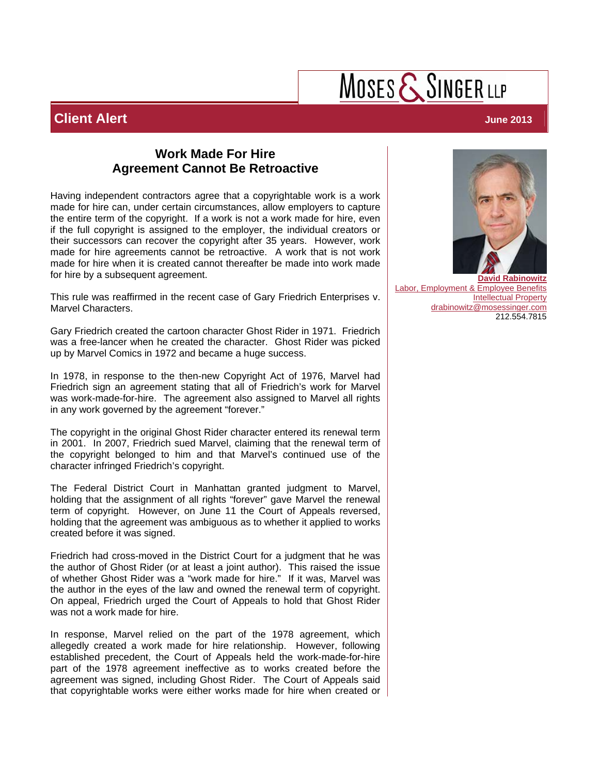## MOSES  $\mathsf{\mathcal{S}}$  SINGER LLP

### **Client Alert** June 2013

#### **Work Made For Hire Agreement Cannot Be Retroactive**

Having independent contractors agree that a copyrightable work is a work made for hire can, under certain circumstances, allow employers to capture the entire term of the copyright. If a work is not a work made for hire, even if the full copyright is assigned to the employer, the individual creators or their successors can recover the copyright after 35 years. However, work made for hire agreements cannot be retroactive. A work that is not work made for hire when it is created cannot thereafter be made into work made for hire by a subsequent agreement.

This rule was reaffirmed in the recent case of Gary Friedrich Enterprises v. Marvel Characters.

Gary Friedrich created the cartoon character Ghost Rider in 1971. Friedrich was a free-lancer when he created the character. Ghost Rider was picked up by Marvel Comics in 1972 and became a huge success.

In 1978, in response to the then-new Copyright Act of 1976, Marvel had Friedrich sign an agreement stating that all of Friedrich's work for Marvel was work-made-for-hire. The agreement also assigned to Marvel all rights in any work governed by the agreement "forever."

The copyright in the original Ghost Rider character entered its renewal term in 2001. In 2007, Friedrich sued Marvel, claiming that the renewal term of the copyright belonged to him and that Marvel's continued use of the character infringed Friedrich's copyright.

The Federal District Court in Manhattan granted judgment to Marvel, holding that the assignment of all rights "forever" gave Marvel the renewal term of copyright. However, on June 11 the Court of Appeals reversed, holding that the agreement was ambiguous as to whether it applied to works created before it was signed.

Friedrich had cross-moved in the District Court for a judgment that he was the author of Ghost Rider (or at least a joint author). This raised the issue of whether Ghost Rider was a "work made for hire." If it was, Marvel was the author in the eyes of the law and owned the renewal term of copyright. On appeal, Friedrich urged the Court of Appeals to hold that Ghost Rider was not a work made for hire.

In response, Marvel relied on the part of the 1978 agreement, which allegedly created a work made for hire relationship. However, following established precedent, the Court of Appeals held the work-made-for-hire part of the 1978 agreement ineffective as to works created before the agreement was signed, including Ghost Rider. The Court of Appeals said that copyrightable works were either works made for hire when created or



[Labor, Employment & Employee Benefits](http://www.mosessinger.com/practice-industries/31-labor-employment-employee-benefits) [Intellectual Property](http://www.mosessinger.com/practice-industries/16-intellectual-property) drabinowitz@mosessinger.com 212.554.7815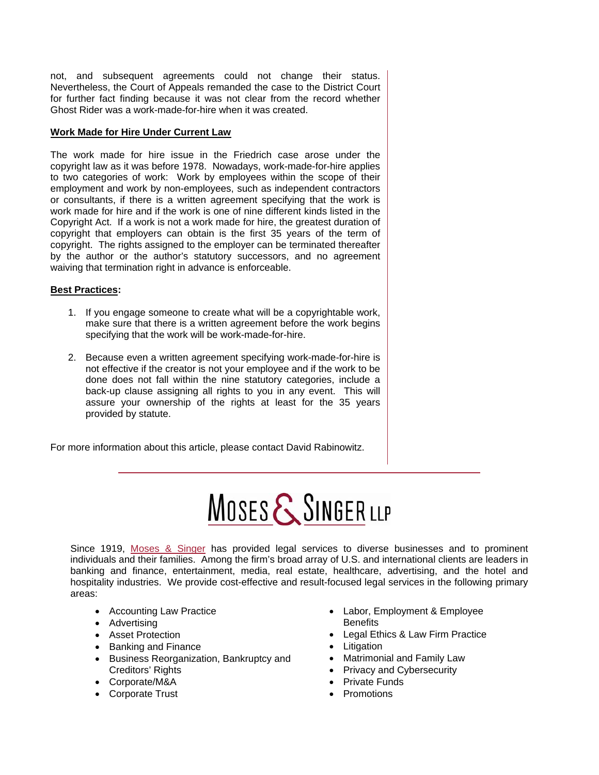not, and subsequent agreements could not change their status. Nevertheless, the Court of Appeals remanded the case to the District Court for further fact finding because it was not clear from the record whether Ghost Rider was a work-made-for-hire when it was created.

#### **Work Made for Hire Under Current Law**

The work made for hire issue in the Friedrich case arose under the copyright law as it was before 1978. Nowadays, work-made-for-hire applies to two categories of work: Work by employees within the scope of their employment and work by non-employees, such as independent contractors or consultants, if there is a written agreement specifying that the work is work made for hire and if the work is one of nine different kinds listed in the Copyright Act. If a work is not a work made for hire, the greatest duration of copyright that employers can obtain is the first 35 years of the term of copyright. The rights assigned to the employer can be terminated thereafter by the author or the author's statutory successors, and no agreement waiving that termination right in advance is enforceable.

#### **Best Practices:**

- 1. If you engage someone to create what will be a copyrightable work, make sure that there is a written agreement before the work begins specifying that the work will be work-made-for-hire.
- 2. Because even a written agreement specifying work-made-for-hire is not effective if the creator is not your employee and if the work to be done does not fall within the nine statutory categories, include a back-up clause assigning all rights to you in any event. This will assure your ownership of the rights at least for the 35 years provided by statute.

For more information about this article, please contact David Rabinowitz.

# MOSES & SINGER LLP

Since 1919, [Moses & Singer](http://www.mosessinger.com/) has provided legal services to diverse businesses and to prominent individuals and their families. Among the firm's broad array of U.S. and international clients are leaders in banking and finance, entertainment, media, real estate, healthcare, advertising, and the hotel and hospitality industries. We provide cost-effective and result-focused legal services in the following primary areas:

- Accounting Law Practice
- Advertising
- Asset Protection
- Banking and Finance
- Business Reorganization, Bankruptcy and Creditors' Rights
- Corporate/M&A
- Corporate Trust
- Labor, Employment & Employee **Benefits**
- Legal Ethics & Law Firm Practice
- Litigation
- Matrimonial and Family Law
- Privacy and Cybersecurity
- Private Funds
- Promotions